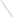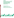

# **Environmental Technology Verification Program**  Advanced Monitoring **Systems Pilot**

Test/QA Plan for Verification of Portable NO/NO<sub>2</sub> Emission Analyzers

/ FTV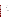**TEST/QA PLAN**

**FOR** 

# **VERIFICATION OF PORTABLE NO/NO2 EMISSION ANALYZERS**

**DECEMBER 4, 1998** 

**Prepared by** 

**Battelle 505 King Avenue Columbus, OH 43201-2693**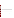# **APPROVALS**

| <b>ECOM America, Ltd.</b>              | <b>Date</b> |
|----------------------------------------|-------------|
| <b>Energy Efficiency Systems, Inc.</b> | <b>Date</b> |
| Horiba Instruments, Inc.               | <b>Date</b> |
| <b>Testo Inc.</b>                      | <b>Date</b> |
| TSI, Inc.                              | <b>Date</b> |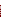# **DISTRIBUTION LIST**

Battelle has provided the following individuals a copy of Version 1.0 of the Test/QA Plan:

Battelle Karen Riggs Tom Kelly Jim Reuther Agnes Kovacs Sandy Anderson Susan Abbgy Joe Tabor

EPA Robert Fuerst Elizabeth Betz Elizabeth Hunike

Vendors Mr. Marko Bruinsma Testo, Inc.

Dr. William Buttner TSI, Incorporated

Mr. Robert Gasser Energy Efficiency Systems

Mr. Drew Wilson ECOM America Ltd.

Mr. Dave Vojtko Horiba Instruments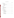# **TABLE OF CONTENTS**

 $1.0$ 

 $2.0$ 

 $3.0\,$ 

 $4.0$ 

 $4.4$ 

| 1.1<br>1.2 |       |
|------------|-------|
| 1.3        |       |
|            | 1.3.1 |
|            | 1.3.2 |
|            |       |
| 2.1        |       |
| 2.2        |       |
| 2.3        |       |
| 2.4        |       |
|            |       |
|            |       |
| 4.1        |       |
| 4.2        |       |
| 4.3        |       |
|            | 4.3.1 |
|            | 4.3.2 |
|            | 4.3.3 |

# Page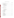# **TABLE OF CONTENTS (Continued)**

|     |                                                             |                         | <b>Page</b> |
|-----|-------------------------------------------------------------|-------------------------|-------------|
| 5.0 |                                                             |                         |             |
|     | 5.1<br>5.2<br>5.3<br>5.4<br>5.5                             |                         |             |
|     |                                                             | 5.5.1<br>5.5.2<br>5.5.3 |             |
|     | 5.6                                                         |                         |             |
| 6.0 |                                                             |                         |             |
|     | 6.1                                                         | Gases                   |             |
|     |                                                             | 6.1.1<br>6.1.2<br>6.1.3 |             |
|     | 6.2<br>6.3<br>6.4<br>6.5<br>6.6                             |                         |             |
| 7.0 |                                                             |                         | 28          |
|     | 7.1<br>7.2<br>7.3<br>7.4<br>7.5<br>7.6<br>7.7<br>7.8<br>7.9 |                         |             |
|     | 7.10                                                        |                         |             |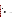# **TABLE OF CONTENTS (Continued)**

| 8.0 |            |                                                                               |
|-----|------------|-------------------------------------------------------------------------------|
|     | 8.1        |                                                                               |
|     |            | 8.1.1<br>8.1.2<br>8.1.3<br>8.1.4<br>8.1.5                                     |
|     | 8.2        |                                                                               |
|     |            | 8.2.1<br>8.2.2<br>8.2.3                                                       |
|     | 8.3<br>8.4 |                                                                               |
| 9.0 |            |                                                                               |
|     | 9.1<br>9.2 |                                                                               |
|     |            | 9.2.1<br>9.2.2<br>9.2.3<br>9.2.4<br>9.2.5<br>9.2.6<br>9.2.7<br>9.2.8<br>9.2.9 |
|     | 9.3<br>9.4 |                                                                               |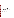# **TABLE OF CONTENTS (Continued)**

# **FIGURES**

# **TABLES**

| 1. |                                                                   |  |
|----|-------------------------------------------------------------------|--|
| 2. |                                                                   |  |
| 3. |                                                                   |  |
| 4. |                                                                   |  |
| 5. |                                                                   |  |
| 6. |                                                                   |  |
| 7. | Summary of Data to be Collected in the Combustion Source Tests 37 |  |
| 8. |                                                                   |  |
| 9. | Summary of Data Recording Process for the Verification Test  44   |  |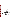#### **1.0 INTRODUCTION**

#### **1.1 Test Description**

This test/QA plan provides detailed procedures for a verification test of portable analyzers used to measure nitrogen oxides emissions from small sources. The verification test will be conducted under the auspices of the U.S. Environmental Protection Agency's (EPA) Environmental Technology Verification (ETV) program. The purpose of ETV is to provide objective and quality assured performance data on environmental technologies, so that users, developers, regulators, and consultants have an independent and credible assessment of what they are buying and permitting.

The verification test will be performed by Battelle, of Columbus, OH, which is EPA's partner for the ETV Advanced Monitoring Systems (AMS) pilot. The scope of the AMS pilot covers verification of monitoring methods for contaminants and natural species in air, water, and soil. In performing the verification test, Battelle will follow procedures specified in this test/QA plan, and will comply with quality requirements in the "Quality Management Plan for the ETV Advanced Monitoring Systems Pilot" (QMP).*(1)* 

#### **1.2 Test Objective**

The objective of the verification test is to quantify the performance of commercial portable nitrogen oxides analyzers, by comparisons to standards or to a reference method, under controlled laboratory conditions as well as with realistic emission sources.

## **1.3 Organization and Responsibilities**

The verification test will be performed by Battelle with the participation of EPA and the vendors who will be having their analyzers verified. The organization chart in Figure 1 shows the several individuals from Battelle, the vendor companies, and EPA who will have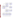

**Figure 1. Organization Chart for the Verification Test**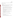responsibilities in the verification test. The specific responsibilities of these individuals are detailed in the following paragraphs.

# **1.3.1 Battelle**

Dr. Thomas J. Kelly is the AMS pilot's Verification Testing Leader. In this role, Dr. Kelly will have overall responsibility for ensuring that the technical, schedule, and cost goals established for the verification test are met. More specifically, Dr. Kelly will:

- Assemble a team of qualified technical staff to conduct the verification test
- Direct the team in performing the verification test in accordance with the test/QA plan
- Ensure that all quality procedures specified in the test/QA plan and in the QMP are followed
- Prepare the draft test/QA plan, verification reports, and verification statements
- Revise the draft test/QA plan, verification reports, and verification statements in response to reviewers' comments
- Respond to any issues raised in assessment reports and audits, including instituting corrective action as necessary
- Serve as the primary point of contact for vendor representatives
- Establish a budget for the verification test and monitor staff effort to ensure that budget is not exceeded
- Ensure that confidentiality of vendor information is maintained.

Ms. Karen Riggs is Battelle's ETV pilot manager. As such, Ms. Riggs will:

- Review the draft test/QA plan
- Review the draft verification reports and statements
- Coordinate distribution of final test/QA plan, verification reports, and statements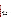- Ensure that necessary Battelle resources, including staff and facilities, are committed to the verification test
- Ensure that vendor confidentiality is maintained
- Support Dr. Kelly in responding to any issues raised in assessment reports and audits
- Maintain communication with EPA's pilot and quality manager

Dr. James Reuther will be responsible for emission source operation during the verification test. More specifically, he will:

- Assemble trained technical staff to operate each emission source and the reference method for the verification test
- Ensure that each emission source is committed to the verification test for the times/dates specified in the verification test schedule
- Ensure that each emission source is fully functional prior to the times/dates needed in the verification test
- Oversee technical staff in emission source operation and reference method performance during the verification test
- Ensure that operating conditions and procedures for each emission source are recorded during the verification test
- Review and approve all data and records related to emission source operation
- Adhere to the quality requirements in this test/QA plan and in the QMP
- Provide input on emission source operating conditions and procedures for the verification test report
- Support Dr. Kelly in responding to any issues raised in assessment reports and audits related to emission source operation.

Mr. Joseph Tabor will coordinate the location and testing of analyzers during the verification test. In this role, Mr. Tabor will: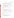- Assist in the setup of  $NO/NO<sub>2</sub>$  analyzers for laboratory and field tests
- Provide daily on-site support (e.g., access to telephone or office facilities; escort through Battelle laboratories; basic laboratory supplies) to vendor representatives as needed
- Document any repairs and maintenance conducted on the analyzers, including description of repair and maintenance performed; staff time required to perform repair or maintenance; and amount of analyzer downtime
- Support Dr. Kelly in responding to any issues raised in assessment reports and audits related to  $NO/NO<sub>2</sub>$  analyzer operation.

Dr. Agnes Kovacs will provide statistics and data analysis support. In particular, Dr. Kovacs will:

- Convert analyzer and reference data from electronic spreadsheet format into appropriate file format for statistical evaluation
- Perform statistical calculations specified in this test/QA plan on the analyzer data
- Provide results of statistical calculations and associated discussion for the verification reports
- Support Dr. Kelly in responding to any issues raised in assessment reports and audits related to statistics and data reduction.

Ms. Susan Abbgy will serve as the QA/QC reviewer for this verification test. As such, Ms. Abbgy will:

- Review the draft test/QA plan
- Conduct a technical system audit once during the verification test
- Conduct performance evaluation audit(s) as specified in this test/QA plan
- Audit at least 10% of the verification data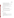- Prepare and distribute an assessment report for each audit
- Verify implementation of any necessary corrective action
- Issue a stop work order if self audits indicate that data quality is being compromised; notify Battelle Quality Manager if stop work order is issued
- Provide a summary of the QA/QC activities and results for the verification reports
- Review the draft verification reports and statements
- Have overall responsibility for ensuring that this test/QA plan is followed.

Ms. Sandra M. Anderson is Battelle's Quality Manager for the AMS pilot. For this verification test, Ms. Anderson will:

- Support Ms. Abbgy in performing her QA/QC responsibilities
- Review Ms. Abbgy's assessment reports before distribution
- Ensure that Battelle management is informed if persistent quality problems are not corrected
- Interface with EPA's Pilot Quality Manager during external audits
- Have overall responsibility for ensuring that the QMP is followed.

# **1.3.2 Vendors**

Vendor representatives will:

- Review the draft test/QA plan
- Approve the test/QA plan
- Provide two identical  $NO/NO<sub>2</sub>$  analyzers for the duration of the verification test
- Commit a trained technical person to operate, maintain, and repair the  $NO/NO<sub>2</sub>$ analyzers throughout the verification test
- Participate in verification testing, including assisting in data acquisition for their analyzers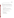• Review their respective draft verification report and statement.

# **1.3.3 EPA**

EPA's responsibilities in the AMS pilot are based on the requirements stated in the "Environmental Technology Verification Program Quality and Management Plan for the Pilot Period (1995-2000)" (QAMP).<sup>(2)</sup> The roles of specific EPA staff under the QAMP are as follows:

Ms. Elizabeth Betz is EPA's Pilot Quality Manager. For the verification test, Ms. Betz will:

- Review the draft test/QA plan
- Perform one external technical system audit during the verification test
- Issue a stop work order if external audit indicates that data quality is being compromised
- Prepare and distribute an assessment report summarizing results of external audit
- Review the draft verification reports and statements.

Mr. Robert Fuerst is EPA's Pilot Manager. As such, Mr. Fuerst will:

- Review the draft test/QA plan
- Approve the final test/QA plan
- Approve the final verification reports.
- Review the draft verification statements.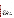#### **2.0 APPLICABILITY**

#### **2.1 Subject**

 $NO<sub>x</sub>$  directly. A sample conditioning inlet, generally consisting of a means to cool and dry the This test/QA plan is applicable to the verification testing of portable analyzers for determining nitrogen oxides (nitric oxide  $(NO)$ ) and nitrogen dioxide  $(NO<sub>2</sub>)$ , collectively designated as  $NO<sub>v</sub>$ ) in controlled and uncontrolled emissions from small sources such as reciprocating engines, combustion turbines, furnaces, boilers, and water heaters utilizing fuels such as natural gas, propane, butane, and fuel oils. The analyzers tested under this plan are commercial devices, capable of being operated by a single person at multiple measurement locations in a single day, using only 110V AC electrical power or self-contained battery power. Although the size and weight of the portable analyzers may vary considerably, the requirement for portability generally implies a total weight of less than 50 pounds, size of about one cubic foot or less, and minimal need for expendable supplies. The portable instrumental analyzers may rely on either of two detection principles: 1) electrochemical (EC) sensors, or 2) chemiluminescence emitted from the reaction of NO with ozone  $(O_3)$  produced within the analyzer. The analyzers may determine NO and  $NO<sub>2</sub>$  (reporting  $NO<sub>x</sub>$  as the sum of these species), or may determine total sample gas stream, is a standard component of the analyzers.

Verification testing requires a basis for establishing the quantitative performance of the tested technologies. For the verification testing conducted under this test/QA plan, the basis of comparison is a reference method of measurement, i.e., EPA Method 7E, a continuous chemiluminescent nitrogen oxides analyzer, operated as described in 40 CFR Part 60 Appendix A.

This test/QA plan calls for the use of specific small emission sources during verification testing. Other emission sources may be substituted, if they are more appropriate than those specified for the set of analyzers undergoing testing.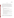## **2.2 Scope**

The overall objective of the verification test described in this plan is to provide quantitative verification of the performance of the portable analyzers in measuring  $NO$ ,  $NO<sub>2</sub>$ , and/or  $NO<sub>x</sub>$  in realistic test conditions. The portable analyzers are commonly used for combustion efficiency checks, spot checks of pollution control equipment, and in periodic monitoring applications of source emissions. In such applications, the portable analyzers are used where a reference method implemented as part of a continuous emission monitoring (CEM) system is not required. For these types of applications, at least the following performance characteristics are generally needed:

- Accuracy within 20 percent relative to the reference method;
- Response time less than 4 minutes;
- In multipoint calibration, a linear slope between 0.98 and 1.02, and  $r^2$  greater than 0.9995;
- Span drift of no more than  $\pm 5$  percent of the span gas value, based on zero/span checks before and after source emissions measurements;
- Span drift of no more than  $\pm 1$  percent of the span gas value for NO and no more than  $\pm 2$  percent of the span gas value for NO<sub>2</sub>, based on zero/span checks separated by at least 12 hours with the analyzer turned off.
- Maximum span differences of  $\pm 3$  percent for NO and NO<sub>2</sub> resulting from ambient temperature over a range of  $55^{\circ}$ F to  $90^{\circ}$ F.
- Sensitivities to potential interferants of no more than  $\pm 2$  percent of range for NO and no more than  $\pm 3$  percent of range for NO<sub>2</sub>.

These performance characteristics have been incorporated in previous test protocols for the portable analyzers.*(e.g., 3)* However, because the verification test specified herein is intended to provide quantitative performance assessment, not approval or a pass/fail judgment relative to a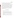Page 10 of 54 Version 1.0 Date: 12/04/98

criterion, these performance characteristics are not incorporated as criteria in this test/QA plan. They are shown above merely to provide the reader with background on the degree of performance that should be expected from the portable  $NO/NO<sub>2</sub>$  analyzers.

It is beyond the scope of this verification test to simulate the exposure history and aging processes that may occur over the entire useful life of a portable  $NO/NO<sub>x</sub>$  analyzer. For example, it has been established that electrochemical NO analyzers may exhibit drift that depends upon their past history of use and the current ambient temperature. Furthermore, electrochemical analyzers in general use interference rejection materials that may deteriorate with age. These long-term changes in EC analyzers cannot be simulated in this verification test, however appropriate quality assurance/quality control guidelines to account for such effects in use have been published in EPA's Conditional Test Methods (CTM) -022 and -030.<sup>(4,5)</sup> Application of those guidelines is recommended to assure continued operation of EC analyzers at the levels of performance established in this verification test.

#### **2.3 Technology Descriptions**

The technologies to be verified under this plan are as follows:

- $\bullet$  Model 350 electrochemical NO and NO<sub>2</sub> analyzer, Testo Inc., Flanders, N.J. This analyzer has measuring ranges of  $0-3,000$  ppm for NO and  $0-500$  ppm for NO.
- $\bullet$  ENERAC 3000SEM electrochemical NO and NO<sub>2</sub> analyzer, Energy Efficiency Systems, Inc., Westbury, N.Y. This analyzer has measuring ranges of 0-1,000 ppm for NO and 0-500 ppm for  $NO<sub>2</sub>$ , with a "Dual-Range" option to extend the NO range to 0-4,000 ppm.
- $\bullet$  A-Plus electrochemical NO and NO<sub>2</sub> analyzer, ECOM America, Ltd., Norcross, Ga. This analyzer has measuring ranges of  $0-4,000$  ppm for NO and  $0-500$  ppm for NO<sub>2</sub>.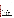- • $\Box$  COMBUCHECK electrochemical NO or NO<sub>2</sub> analyzer, TSI, Inc., St. Paul, Minn. This analyzer has one electrochemical sensor, and thus measures one gas at a time. Standard measuring ranges are  $0-2,000$  ppm for NO and  $0-100$  ppm for NO<sub>2</sub>.
- $\bullet$  Model PG-250 portable gas analyzer, Horiba Instruments, Inc., Irvine, Calif. This analyzer uses the chemiluminescence method to obtain measurement of total NOx, with no distinction of NO or  $NO<sub>2</sub>$  concentrations. Seven measuring ranges are selectable: 0-25, 0-50, 0-100, 0-250, 0-500, 0-1000, and 0-2500 ppm.

#### **2.4 Additional Measurements**

As Table 1 shows, some of the analyzers tested according to this test/QA plan provide measurements of CO, oxygen,  $SO_2$ , and other parameters in addition to measurements of NO,  $NO<sub>2</sub>$ , and/or  $NO<sub>x</sub>$ . In the verification test these additional data may be reported, as a means of characterizing the sample matrix. However, they are not required, and will not be evaluated as part of the verification process.

|                                     | <b>Vendor</b>                   |                                            |                  |                           |            |  |
|-------------------------------------|---------------------------------|--------------------------------------------|------------------|---------------------------|------------|--|
| <b>Measured</b><br><b>Parameter</b> | <b>Testo</b>                    | <b>Energy Efficiency</b><br><b>Systems</b> | <b>ECOM</b>      | Horiba                    | <b>TSI</b> |  |
| O <sub>2</sub>                      | $\boldsymbol{\nu}^{\text{(a)}}$ | $\boldsymbol{v}$                           | $\boldsymbol{v}$ | $\boldsymbol{v}$          | (b)        |  |
| CO                                  | $\boldsymbol{v}$                | $\boldsymbol{v}$                           | $\mathbf{v}$     | $\boldsymbol{v}$          |            |  |
| SO <sub>2</sub>                     | $\boldsymbol{v}$                | $\boldsymbol{v}$                           | $\mathbf{v}$     | $\boldsymbol{v}$          |            |  |
| <b>Stack</b><br>Temperature         | $\sqrt{2}$                      | $\boldsymbol{v}$                           | $\mathbf{v}$     |                           |            |  |
| <b>Stack Pressure</b>               | $\boldsymbol{v}$                |                                            | $\boldsymbol{v}$ |                           |            |  |
| CO <sub>2</sub>                     | $+$ <sup>(c)</sup>              | $^{+}$                                     | $+$              | $\boldsymbol{\mathsf{v}}$ |            |  |

| Table 1. Additional Measurements Provided by the Analyzers to be Verified |  |  |  |
|---------------------------------------------------------------------------|--|--|--|
|                                                                           |  |  |  |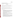- (a) The indicated analyzer measures this parameter.
- (b) The indicated analyzer does not measure this parameter.
- (c) The indicated analyzer can determine this parameter by calculation rather than by direct measurement.

# **3.0 DEFINITIONS**

**Accuracy -** The degree of agreement of an analyzer's response with that of the reference method, determined in simultaneous sampling of emissions from realistic combustion sources.

**Ambient Temperature Effect** - The dependence of an analyzer's response on the temperature of the environment in which it is operating. A potential cause of span and zero drift.

**Analyzer -** The total equipment required for the determination of NO/NO<sub>2</sub>/NO<sub>3</sub> concentration, whether by electrochemical or chemiluminescence means. The analyzer may consist of the following major subsystems:

- 1. **Sample Conditioning Inlet.** That portion of the analyzer used for one or more of the following: sample acquisition, sample transport, sample conditioning, or protection of the analyzer from the effects of the stack effluent, particulate matter, or condensed moisture. Components may include filters, heated lines, a sampling probe, external interference gas scrubbers, and a moisture removal system.
- 2. **External Interference Gas Scrubber.** A device located external to an electrochemical cell, and used to remove or neutralize compounds likely to interfere with the selective operation of the cell.
- 3. **Electrochemical Cell.** That portion of an EC-based analyzer that senses the gas to be measured and generates an output proportional to its concentration. Any cell that uses diffusion-limited oxidation and reduction reactions to produce an electrical potential between a sensing electrode and counter electrode.
- 4. **Moisture Removal System.** Any device used to reduce the concentration of moisture from the sample stream for the purpose of protecting the analyzer from the damaging effects of condensation and corrosion, and/or for the purpose of minimizing errors in readings caused by scrubbing of soluble gases. Such systems may function by cooling the sample gas, or by drying it through permeation or other means.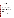5. **Data Recorder**. A strip chart recorder, computer, display, or digital recorder for recording measurement data from the analyzer output. The digital data display may be used when taking manual measurements.

**Data Completeness -** The ratio of the amount of NO, NO<sub>2</sub>, and/or NO<sub>x</sub> data obtained from an analyzer to the maximum amount of data that could be obtained in a test.

**Detection Limit -** The true analyte concentration at which the average analyzer response equals three times the standard deviation of the noise level when sampling zero gas.

**Dilution System -** An instrument or apparatus equipped with mass flow controllers, capable of flow control to  $\pm 1$  percent accuracy, and used for dilution of span or interference gases to concentrations suitable for testing of analyzers.

**Inter-Unit Repeatability -** The extent to which two identical analyzers from a single vendor, tested simultaneously, provide data that agree. The statistical definition of agreement may vary depending on the test under consideration.

**Interferences -** Response of the analyzer to a constituent of the sample gas other than the target analytes (NO,  $NO_2$ ,  $NO_x$ ).

**Interrupted Sampling -** A test in which an analyzer is turned off for at least 12 hours, and its performance is checked both before and after the interruption. This test assesses how well the analyzer maintains its performance in the face of being turned on and off.

**Linearity -** The linear proportional relationship expected between analyte concentration and analyzer response over the full measuring range of the analyzer.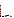**Measurement Stability -** The uniformity of an analyzer's response over time, assessed relative to that of the reference method, during sampling of steady state emissions from a combustion source. Stability over time periods of one hour or more is of interest.

**Measuring Range -** The range of concentrations over which each analyzer is designed to operate. Several measuring ranges may be used in testing of any given analyzer, as long as suitable zero and span checks are performed on the measuring ranges used.

**Refresh Cycle** - A period of sampling of fresh ambient air, required to maintain correct operation of an EC analyzer by replenishing oxygen and moisture in the EC cell. **Response Time** - The amount of time required for the measurement system to display 95 percent of a step change in gas concentration on the data recorder.

**Sample Flow Rate -** The flow rate of the analyzer's internal sample pump under conditions of zero head pressure. Since the response of the EC cells can drift with changes in flow rate, the flow rate stability will be checked.

**Span Calibration -** Adjustment of the analyzer's response to match the standard concentration provided during a span check.

**Span Check -** Observing the response of the analyzer to a gas containing a standard concentration of at least 90 percent of the upper limit of the analyzer's measuring range.

**Span Drift -** The extent to which an analyzer's reading on a span gas changes over time.

**Span Gas -** A known concentration of a gas in an appropriate diluent gas, e.g., NO in oxygenfree nitrogen. EPA protocol gases are used are used as span gases in this verification test.

**Zero Calibration -** Adjustment of an analyzer's response to zero based upon sampling of high purity gas during a zero check.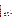**Zero Check -** Observing the response of the analyzer to gas containing no target analytes. High purity nitrogen or air are used as the zero gas.

**Zero Drift** - The extent to which an analyzer's reading on zero gas changes over time.

# **4.0 SITE DESCRIPTION**

#### **4.1 General Site Description**

Verification testing under this test/QA plan will be conducted at Battelle Columbus Operations, 505 King Avenue, Columbus, Ohio. Testing will be conducted both in a laboratory setting and with well-characterized  $NO<sub>x</sub>$  emission sources.

## **4.2 Site Operation**

Laboratory and source testing will be directed and conducted by Battelle staff, using equipment and test facilities on hand. Commercial technologies will be operated by vendor staff during testing. Participation in the verification test will be subject to the stipulations of the Vendor Agreement between Battelle and the vendors.

#### **4.3 NO<sub>x</sub> Emission Sources**

The commercial technologies will be verified in part by sampling the emissions from four diverse combustion sources, selected to provide  $NO<sub>x</sub>$  levels in the following three ranges:

> Low: total  $NO<sub>x</sub>$  less than 20 ppm, Medium: total  $NO_x$  between about 50 and 500 ppm, High: total  $NO<sub>x</sub>$  greater than 2,000 ppm.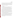Page 16 of 54 Version 1.0 Date: 12/04/98

Sources characterized in previous Battelle studies will be used to provide these  $NO<sub>x</sub>$  levels, as described in the following sections. Vendors may choose not to test their analyzers on sources or over  $NO<sub>x</sub>$  concentration ranges that are not appropriate to their analyzers. Verification results will be reported only for those source tests actually conducted. All of the portable analyzers listed in Section 2.4 will be tested in all three NO<sub>v</sub> ranges, with the exception of the TSI CombuCheck, which will be tested only in the low and medium ranges.

#### **4.3.1 Low**  $NO_x$  **Sources**

For production of  $NO<sub>x</sub>$  emissions in the Low concentration range, two sources will be used. These sources were chosen both to provide the requisite  $NO<sub>x</sub>$  levels and to represent the variety of gas combustion sources to which the portable analyzers might be applied.

The low-NO<sub>x</sub> source will be a commercial residential natural gas fired rangetop burner, which has a firing rate of 10,000 Btu per hour (10 KBtu/hr). This appliance generates both NO and  $NO<sub>2</sub>$  emissions in the single-digit ppm range (1 to 9 ppm after dilution), with a  $NO<sub>2</sub>/NO<sub>2</sub>$ fraction of about 50%. The database on the particular appliance to be used in this test was generated in an international study in which 15 different laboratories measured its emissions.*(6)*   $NO<sub>x</sub>$  emissions from this source are diluted prior to measurement using a quartz collection dome designed according to the Z21.1 specifications of the American National Standards Institute (ANSI). This cooktop is very well characterized in terms of  $NO<sub>x</sub>$  emissions, and in fact has been used as a transfer standard in evaluating NO<sub>y</sub> measurement capabilities at different laboratories, including those of the Consumer Product Safety Commission.

A commercial residential natural gas fired water heater, which has a firing rate of 40,000 Btu/hr, will also be used as a Low-to-Medium  $NO<sub>x</sub>$  source. This appliance generates both NO and  $NO<sub>2</sub>$  emissions in the double-digit ppm range (10 to 80 ppm after dilution), with a  $NO<sub>2</sub>/NO<sub>x</sub>$ fraction of about 25%. The database on the particular appliance to be used in this test was generated in a national study in which 6 different laboratories measured its emissions.  $NO<sub>x</sub>$ emissions from this source are diluted prior to measurement using a standardized draft hood, which is integral to the appliance.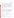# **4.3.2 Medium NO<sub>x</sub> Source**

A portable diesel-powered electrical generator will be used as the medium  $NO<sub>x</sub>$  source. This generator is of a type used as a portable power supply at military aviation facilities. The generator is equipped with a dynamic load unit so that engine load, and consequently NO<sub>x</sub> emissions, may be varied over a wide range. The Model A/M32A-86D-B65 (86D-B) generator to be used as a Medium  $NO_x$  source produces from about 100 to nearly 1,000 ppm  $NO_x$ , depending on load. NO<sub>2</sub> comprises from 10 to 20 percent of the NO<sub> $<sub>x</sub>$ </sub>. This generator will be</sub> operated at different load conditions to span the Medium range of  $NO<sub>x</sub>$  concentrations. The diesel fuel used in operating this generator will be from a commercial supplier and will contain sulfur. A batch of fuel sufficient for all tests will be obtained, so that fuel composition will be constant during testing.

#### **4.3.3 High**  $NO_x$  **Source**

A second diesel-powered generator will be used as the High NO<sub>v</sub> source. This generator is identical to that used as the Medium  $NO<sub>x</sub>$  source, but has a different fuel injector (DF65) and injector timing (retarded), which result in different emission characteristics. This Model 86D-DF generator produces from about 600 to about 2,300 ppm  $NO<sub>x</sub>$ , depending on load, with 10 to 30 percent as  $NO<sub>2</sub>$ . This generator will be operated at several different load conditions to span the High range of  $NO<sub>x</sub>$  concentrations. This generator will use the same diesel fuel described in Section 4.3.2.

#### **4.4 Operation of Sources**

All combustion sources used will be operated according to the manufacturer's or regulatory instructions, and with proper attention to safety requirements. Some specific factors associated with the different sources are noted below.

#### **4.4.1 Water Heater**

Installation of the water heater, the gas supply pressure and water temperature, and inlet and outlet piping configurations, shall all be in accordance with the manufacturer's instructions.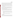Page 18 of 54 Version 1.0 Date: 12/04/98

An appropriately rated pressure and temperature relief valve is installed at a port specified by the manufacturer. All energy conservation accessories which are supplied with the water heater shall be operated during testing. The gas usage of the water heater over the test interval shall be measured in cubic feet with a dry gas meter or other flow monitoring device accurate to within 1 percent. The dry gas meter reading shall be corrected for gas pressure and temperature. Flow valves shall be installed to control the flow of inlet and outlet water at a rate such that the burners operate continuously for the duration of testing. This will amount to a continuous draw of about 3.2 gallons of water per minute.

The water heater will be operated with the integral standardized draft hood in place. The sample location shall be a minimum of 8 duct diameters downstream of flow disturbances (valves, reducers, elbows, etc.), and a minimum of 2 duct diameters upstream of the closest flow disturbance (including end of duct or pipe open to atmosphere). Sampling of the exhaust stream shall take place at the center point of the flue vent.

The water heater shall be tested within  $\pm 2\%$  of the manufacturer's specified hourly Btu input rate. The device will be operated until steady-state conditions are attained. Generally, steady-state is defined by one or more of the following conditions over a 15-minute interval:

- Temperature changes in the center position of the exhaust of not more than  $+10^{\circ}$ F;
- NO<sub>x</sub> changes at the center of the exhaust duct of not more than  $\pm$  5 percent relative to the mean over the 15 minute interval as determined using the EPA reference method (see Section 5.2);
- O<sub>2</sub> changes at the center of the exhaust duct of not more than  $\pm$  0.50 percent absolute  $(± 5000 ppm)$  from the mean sampled over the 15 minute interval.

#### **4.4.2 Rangetop Burner**

The rangetop burner will be operated at the conditions at which its  $NO<sub>x</sub>$  emissions are well characterized, i.e., at the conditions used in the international multi-laboratory comparison study.*(6)*  The burner will be operated with the ANSI quartz collection dome and the standard load in place.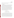Requirements for measuring the gas usage, sampling the exhaust flow, and operating at steadystate conditions are equivalent to those for the water heater.

#### **4.4.3 Diesel Generators**

The diesel generators shall be set up and operated in accordance with the manufacturer's instructions. The exhaust from the generator will be vertically discharged through a stack with a minimum length of 10 diameters downstream of a flow disturbance (valves, reducers, elbows, etc.). The sample location will be a minimum of 8 duct diameters downstream of any flow disturbance, and a minimum of 2 duct diameters upstream of the closest flow disturbance (including end of duct or pipe open to atmosphere). Sampling of the exhaust streams will take place at the center point of the flue vent. These flue-gas sampling requirements will be satisfied by using the same exhaust stack used in previous interlaboratory emissions testing, which was constructed according to EPA Method 5 specifications. The air/ fuel mixture shall be checked and adjusted to the correct operation criteria established by the manufacturer of the generator. The device will be operated until steady-state conditions are attained, as described in Section 4.4.1, before data collection for verification takes place.

#### **5.0 EXPERIMENTAL DESIGN**

#### **5.1 General Description of Verification Test**

The verification test will consist of laboratory and combustion source experiments. In all experimental activities, two identical units of each portable analyzer will be operated side-by-side, and the performance of each will be quantified individually, i.e., data from the two units will not be pooled. EPA Method 7E will be the reference method of nitrogen oxides determination. EPA Protocol 1 Gases will be used as the calibration standards for both NO and NO<sub>2</sub>. Each analyzer will be verified on its measurements of as many of the following parameters as are applicable: NO,  $NO<sub>2</sub>$ , and  $NO<sub>x</sub>$ . Each analyzer will be verified independently of any other analyzers participating in this verification test. That is, no intercomparison or ranking of the analyzers will be made at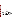any time during the verification test. Data from the several different analyzers tested will be segregated in the data acquisition and analysis processes. The performance of each analyzer will be quantified on the basis of statistical procedures stated in Section 9 of this plan, and the respective verification results will be documented in a verification report that is reviewed in draft form by the analyzer vendor.

#### **5.2 Identity of Reference Method**

The reference method used in this verification test must be EPA Method 7E, "Determination of Nitrogen Oxides Emissions from Stationary Sources (Instrumental Analyzer Procedure)". This method is set forth in 40 CFR Part 60, Appendix A. With this method, NO in sample gas extracted from a stack is detected by chemiluminescence resulting from its reaction with ozone, produced in excess within the analyzer. A heated catalytic converter reduces  $NO<sub>2</sub>$  to NO for detection. While NO is detected directly,  $NO<sub>2</sub>$  is inferred by the difference between the NO reading and the  $NO<sub>x</sub> (= NO + NO<sub>2</sub>)$  reading obtained with the catalyst. The EPA Approved Alternative Method for checking the catalytic converter efficiency (i.e., using an  $NO<sub>2</sub>$  Protocol Gas) will be employed. $(7)$ 

#### **5.3 Laboratory Tests**

Initial tests will be performed in a laboratory setting, i.e., without the use of a combustion source. The standard of comparison in the laboratory tests will be the EPA Protocol Gas standards. The laboratory tests to be performed, the objective of each test, and the number of measurements to be made in each test are summarized in Table 2. Procedures for performing these tests are specified in Section 7. Statistical comparisons to be made with the data are specified in Section 9.

## **5.4 Combustion Source Tests**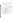The tests listed in Table 3 will be performed using various combustion sources. The standard of comparison in the combustion tests will be the EPA Method 7E, and in some cases EPA Protocol Gases. Detailed procedures for conducting these tests are provided in Section 7. Statistical comparisons to be made with the data are specified in Section 9.

| <b>Laboratory Test</b>       | Objective                                                                   | <b>Total Number of</b><br>Measurements <sup>(a)</sup> to be<br><b>Used in Verification</b> |
|------------------------------|-----------------------------------------------------------------------------|--------------------------------------------------------------------------------------------|
| Linearity                    | Determine linearity of response over the<br>full measuring range            | 21                                                                                         |
| <b>Detection Limit</b>       | Determine lowest concentration<br>measurable above background signal        | 9                                                                                          |
| <b>Response Time</b>         | Determine speed of response to a step<br>change                             | 30 (estimated)                                                                             |
| <b>Interferences</b>         | Determine analyzer response to species<br>other than NO and NO <sub>2</sub> | 6                                                                                          |
| <b>Ambient Temperature</b>   | Determine effect of ambient temperature<br>on analyzer zero and span        | 12                                                                                         |
| <b>Interrupted Sampling</b>  | Determine effect on response of full<br>analyzer shutdown                   | $\overline{A}$                                                                             |
| <b>Flow Rate Sensitivity</b> | Determine stability of analyzer sample<br>flow, and effect on response      | 9                                                                                          |

# **Table 2. Summary of Laboratory Tests**

(a) Number of separate measurements to be made in the indicated test for each analyzer, for each analyte (NO,  $NO_2$ , or  $NO_x$ ).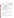Page 22 of 54 Version 1.0 Date: 12/04/98

| <b>Combustion</b><br><b>Source Test</b> | Objective                                                                                                  | Comparison<br><b>Based On</b> | <b>Total Number of</b><br>Measurements <sup>(a)</sup><br>to be Used in<br><b>Verification</b> |
|-----------------------------------------|------------------------------------------------------------------------------------------------------------|-------------------------------|-----------------------------------------------------------------------------------------------|
| Accuracy                                | Determine degree of agreement<br>with EPA Reference Method                                                 | Reference Method              | 72                                                                                            |
| Zero/Span Drift                         | Determine change in zero gas<br>and span gas response due to<br>exposure to combustion source<br>emissions | <b>Gas Standards</b>          | 16 <sup>b</sup>                                                                               |
| Measurement<br>Stability                | Determine the analyzer's ability<br>to sample combustion source<br>emissions for an extended time          | Reference Method              | $60^\circ$                                                                                    |

# **Table 3. Summary of Combustion Source Tests**

- (a) Number of separate measurements to be made in the indicated test for each analyzer, for each analyte (NO,  $NO_2$ , or  $NO_x$ ).
- (b) Augmented with 8 additional measurements from the Linearity and Ambient Measurement tests (See Section 7.9).
- (c) Data collected once per minute for one hour of measurement.

#### **5.5 Additional Performance Factors**

The following factors will be verified using data from both the laboratory and combustion source tests. In addition, other operational features not yet identified may become evident during the tests, and will be evaluated.

#### **5.5.1 Inter-Unit Repeatability**

No additional test activities will be required to assess the inter-unit repeatability of the analyzers. This test will be based on pair-wise comparisons of the simultaneous  $NO$ ,  $NO<sub>2</sub>$ , and/or  $NO<sub>x</sub>$  data obtained from the two analyzers of each type. Repeatability will be assessed based on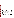data from all laboratory and combustion source tests. Repeatability in each type of test will be assessed separately.

#### **5.5.2 Data Completeness**

No additional test activities will be required to determine the data completeness achieved by the analyzers. Data completeness will be assessed based on the NO,  $NO_2$ , and/or  $NO_x$  data recovered from each analyzer relative to the maximum amount of data that could have been recovered.

#### **5.5.3 Cost**

Analyzer cost will be assessed in terms of the full purchase cost of the analyzer as used in this verification test, i.e., including all accessories and sampling components. Cost information will be provided by the vendors.

## **5.6 Test Schedule**

Verification testing will be conducted by performing the tests described above in a fixed sequence. The analyzers provided by each vendor will undergo that full test sequence, in such a way that no two vendors are at the same point in the sequence at any one time. To accomplish this, vendors will begin the test sequence on different days. To avoid bias in testing of the first analyzers through the sequence, Battelle's personnel will first conduct the entire test sequence using an analyzer already on hand at Battelle. Testing will then continue with the analyzers named in Section 2.4.

The sequence of testing activities is expected to take up to 3½ days to complete. An example schedule of those test days is shown in Table 4. The first two days are devoted to laboratory testing, and the last two to source emissions testing. One vendor will start the test sequence every two days, and testing will take place seven days a week until all analyzers have been verified. For example, vendors will start the test sequence on Monday, Wednesday, and Friday, respectively, and complete the sequence on Thursday, Saturday, and Monday,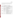respectively. Table 5 illustrates the schedule of a hypothetical test week. Testing of each vendor's analyzers will take place on successive days, without interruption of the test sequence. Testing of five vendors' analyzers in this way will require 12 test days (Monday of one week through Friday of the next.

| <b>Test Day</b>                 | <b>Approximate Time Period</b> | <b>Testing Activity</b>                                                                                                        |
|---------------------------------|--------------------------------|--------------------------------------------------------------------------------------------------------------------------------|
| One                             | $08:00 - 12:00$                | Vendor checks and prepares analyzers for testing.                                                                              |
|                                 | $13:00 - 17:00$                | Linearity test, including detection limit and response<br>time determinations.                                                 |
|                                 | 17:00 - Overnight              | Start of Interrupted Sampling Test.                                                                                            |
| Two<br>$08:00 - 08:30$          |                                | End of Interrupted Sampling Test.                                                                                              |
|                                 | $08:30 - 10:00$                | Interference Test.                                                                                                             |
|                                 | $10:00 - 13:00$                | Flow Rate Test.                                                                                                                |
|                                 | $13:00 - 17:00$                | <b>Ambient Temperature Test.</b>                                                                                               |
| <b>Three</b><br>$08:00 - 10:00$ |                                | Relative Accuracy Test with water heater, including<br>Zero/Span Drift Test.                                                   |
|                                 | $10:00 - 12:00$                | Relative Accuracy Test with gas cooktop, including<br>Zero/Span Drift Test.                                                    |
|                                 | $12:00 - 17:00$                | Relative Accuracy Test with first diesel generator,<br>including Zero/Span Drift test, and Long Term<br><b>Stability Test.</b> |
| <b>Four</b>                     | $08:00 - 12:00$                | Relative Accuracy Test with second diesel<br>generator, including Zero/Span Drift Test.                                        |

|  |  |  | Table 4. Schedule of Verification Testing Activities |
|--|--|--|------------------------------------------------------|
|--|--|--|------------------------------------------------------|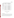| <b>Test Day</b>                | Vendor (e.g.)                       | <b>Activities (per Table 4)</b> |  |
|--------------------------------|-------------------------------------|---------------------------------|--|
| <b>Monday</b>                  | Testo                               | Day One activities              |  |
| <b>Tuesday</b>                 | Testo                               | Day Two activities              |  |
| Wednesday                      | Testo                               | Day Three activities            |  |
|                                | <b>ECOM</b>                         | Day One activities              |  |
| <b>Thursday</b>                | Testo<br>Day Four activities        |                                 |  |
|                                | <b>ECOM</b>                         | Day Two activities              |  |
| Friday                         | <b>ECOM</b><br>Day Three activities |                                 |  |
|                                | Horiba                              | Day One activities              |  |
| <b>ECOM</b><br><b>Saturday</b> |                                     | Day Four activities             |  |
|                                | Horiba                              | Day Two activities              |  |
|                                | Etc.                                | Etc.                            |  |

**Table 5. Example Schedule of Testing Activities for Vendors** 

#### **6.0 MATERIALS AND EQUIPMENT**

#### **6.1 Gases**

#### **6.1.1 EPA Protocol Gases**

The span gases used for testing and calibration of NO and  $NO<sub>2</sub>$  shall be EPA Protocol 1 Gases<sup>(8)</sup>, obtained from a commercial supplier. These gases will be accompanied by a certificate of analysis that includes the uncertainty of the analytical procedures used to confirm the span gas concentration. Span gases will be obtained in concentrations that match the highest measuring ranges of any analyzer to be tested, i.e., 4,000 ppm for NO and 500 ppm for  $NO<sub>2</sub>$ .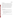## **6.1.2 Interference Gases**

Compressed gas standards for use in testing interference effects will be obtained from a commercial supplier. These gases must be gravimetrically prepared, and must be certified standards with a blend accuracy (relative to the nominal target concentration) within  $\pm 10\%$ , and an analytical accuracy (confirmation of actual concentration) within  $\pm 2\%$ . Each interference gas must be accompanied by a certificate indicating the analytical results and the uncertainty of the analytical procedures used to confirm the concentration. Each interference gas will contain a single interferant in a matrix of high purity air or nitrogen. The interference gas concentrations will be: CO, 500 ppm;  $CO_2$ , 5 percent;  $SO_2$ , 500 ppm; NH<sub>3</sub>, 500 ppm; and hydrocarbons, approximately 500 ppm methane, 100 ppm  $C_2$  compounds, and 50 ppm total  $C_3$  and  $C_4$ compounds. The NO and  $NO<sub>2</sub>$  Protocol Gases will be used for interference testing of those species.

# **6.1.3 High Purity Nitrogen/Air**

The high purity gases used for zeroing of the reference method and the commercial analyzers, and for dilution of EPA Protocol gases and interference gases, must be as follows:

- $\bullet$  Acid Rain CEM Zero Nitrogen, or equivalent, i.e., nitrogen having the following purity specifications:  $NO_x$ , total hydrocarbons, and  $SO_2$  each < 0.1 ppm, CO and  $O_2$ each <  $0.5$  ppm,  $CO<sub>2</sub>$  < 1 ppm, and water < 5 ppm.
- $\bullet$  Acid Rain CEM Zero Air, or equivalent, i.e., air having the following purity specifications: NO<sub>x</sub>, total hydrocarbons, and SO<sub>2</sub> each < 0.1 ppm, CO < 0.5 ppm, CO<sub>2</sub>  $<$  1 ppm, and water  $<$  5 ppm.

A certificate of gas composition will be obtained from the supplier confirming the quality of the gas.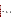# Page 27 of 54 Version 1.0 Date: 12/04/98

#### **6.2 Reference Instrument**

NO and  $NO<sub>x</sub>$  reference measurements will be performed according to EPA Method 7E using identical Beckman Model 955 chemiluminescent monitors. These instruments have fullscale measuring ranges of 10, 25, 100, 250, 1000, 2500, and 10,000 parts-per-million (ppm), and use stainless steel catalytic converters operated at  $1,250^{\circ}$ F.

## **6.3 Dilution System**

 The dilution system used for preparation of calibration gas mixtures must have mass flow control capabilities for both dilution gas and span gas flows. The dilution system may be commercially produced or assembled from separate commercial components. It must be capable of accepting a flow of compressed gas standard and diluting it with high purity nitrogen or air; dilution factors ranging from about 4:5 to about 1/100 are required.

#### **6.4 Temperature Sensors**

The sensor used to monitor temperature in the exhaust stack or duct during experiments on combustion source emissions must be a thermocouple equipped with a digital readout device. The thermometers used for measurement of room or chamber air temperature may be of the mercury-in-glass, thermocouple, or other types, as long as they provide an accuracy within  $\pm 1^{\circ}F$ as determined through calibration.

#### **6.5 Oxygen Sensor**

The sensor used to determine the oxygen content of exhaust gases during tests on combustion source emissions must be of a commercial design, and have an accuracy of  $\pm 0.2$  percent oxygen as determined through calibration.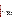#### **6.6 Gas Flow Meters**

The natural gas flow to the gas burner and water heater must be monitored during use with a dry gas meter and associated readout device. Dry gas meter readings shall be corrected for temperature and pressure.

Rotameters, automated bubble flow meters, or other devices capable of indicating the analyzer flow rate within  $\pm 5$  percent shall be used in tests of the flow rate stability of the analyzers (Section 7.7). Certification of flow rate precision should be obtained from the supplier.

#### **7.0 TEST PROCEDURES**

In this section the specific procedures to be used in the verification test are specified. Each vendor's analyzers (i.e., two identical units) will be subjected to this test procedure. However, only one vendor's analyzers will be subjected to any single test at any time, i.e., the different analyzers will follow one another sequentially through the series of tests. The schedule and sequence of testing is specified in Section 5.6 above. As noted previously, this verification test cannot address analyzer behavior that occurs after an extended exposure history, because of changes in the analyzer itself due to long term use.

In some of the verification test procedures, a relatively small number of data points will be obtained to evaluate performance. For example, response time will be determined based on a single trial, and zero/span drift, temperature and flow effects, etc., will be verified based on a few comparisons of average values determined over short time periods. The quantity of data obtained in this verification test exceeds that obtained in comparable test procedures,  $(e.g., 3)$  however, in some cases the data obtained will be sufficient to determine the average value, but not the precision of the verification result. Tests for which that is the case are identified appropriately in Section 9.

One aim of this verification test is to assess the real-world variability of the analyzers being tested. To that end, measurements which may appear to be outliers from comparable data will be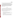retained in the data set unless an assignable cause for the outlier can be identified. If an assignable cause can be identified, all or part of the test procedure will be repeated, if feasible.

**Note: Electrochemical analyzers undergoing testing may require refresh cycles of ambient air sampling to maintain proper operation. This requirement may be particularly important in sampling of high purity gases, as in the laboratory tests outlined below. The operators of such analyzers may perform refresh cycles at any time during the test procedures; however, no part of any test procedure will be replaced or eliminated by performance of a refresh cycle.** 

#### **7.1 Linearity**

Linearity of the analyzers will be verified in the laboratory by establishing multi-point calibration curves. Separate curves will be established for NO and  $NO<sub>2</sub>$  on each analyzer. Calibration points will be run at zero concentration, and at  $NO$  or  $NO<sub>2</sub>$  concentrations approximating 10, 20, 40, 70, and 100 percent of the analyzer's measuring range (see Section 2.4 for ranges of each analyzer). The zero point will be sampled six times, and other calibration points three times, for a total of 21 calibration points each for NO and  $NO<sub>2</sub>$ .

General procedures for the Linearity Test are:

- 1. Set up the gas dilution system to provide calibration gases by dilution of an EPA Protocol 1 gas standard for each gas of interest (NO and  $NO<sub>2</sub>$ ).
- 2. Perform dilutions with high purity nitrogen when testing with NO, and with high purity air when testing with  $NO<sub>2</sub>$ .
- 3. Determine the response curve for NO, and then for  $NO<sub>2</sub>$  on a single vendor's analyzers. The two analyzers from each vendor will be tested simultaneously but independently, i.e., no averaging of results from the two analyzers will be done.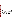#### Specific test procedures are:

- 1. Perform a zero and span calibration for both  $NO$  and  $NO<sub>2</sub>$  on the analyzers to be tested. Make no further adjustments to the zero or span settings of the analyzers once the Linearity Test has begun.
- 2. Provide a sample flow of the pure diluent gas to the analyzers, and record the readings.
- 3 Provide a flow of a span gas concentration approximately equal to the upper limit of the measuring range of the analyzers, and record the readings.
- 4. Using the gas dilution system to change the gas concentration as appropriate, determine the response to additional concentration points at zero, 10, 20, 40, 70, and 100 percent of the measuring range. After every three points, provide pure dilution gas and record the analyzers' readings again.
- 5. The order of obtaining the concentration points in steps 2 to 4 shall be as follows: Zero, 100%, 10%, 40%, zero, 70%, 20%, 10%, zero, 20%, 40%, 70%, zero, 100%, 70%, 40%, zero, 20%, 10%, 100%, zero.
- 6. At each concentration point, record all responses of the analyzers (i.e., NO, NO $_{2}$ , and/or  $NO_x$ ).
- 7. In the course of the Linearity Test, conduct the Response Time Test as described in Section 7.3.
- 8. Upon completion of the points specified in step 5 above, perform a final zero and span check for both NO and  $NO<sub>2</sub>$ .
- 9. Turn off all power to the analyzers, in preparation for the Interrupted Sampling Test (Section 7.6).

# **7.2 Detection Limit**

The detection limit of each analyzer will be verified based on the data obtained at zero concentration (six data points) and at the lowest calibration point (three data points) in the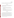Linearity Test (Section 7.1). No additional experimental activities will be conducted. Detection limits will be determined separately for NO,  $NO_2$ , and/or  $NO_x$ , as described in Section 9.2.2.

#### **7.3 Response Time**

The response time of the analyzers will be established in the laboratory by monitoring the response of the analyzers during the performance of the Linearity Test (Section 7.1). The following procedures will be followed:

- 1. Determine the analyzer's response at the zero level using pure diluent gas.
- 2. Switch to a calibration gas that is approximately 70 percent of the analyzer's measurement range.
- 3. Record the analyzer's response at 10-second intervals until a stable response to the calibration gas is achieved.
- 4. Determine and record the elapsed time required for the analyzer to reach 95 percent of its final stable response after switching from diluent gas to the calibration gas.
- 5. Perform this test for both NO and  $NO<sub>2</sub>$  on all analyzers, as part of the Linearity Test.

# **7.4 Interferences**

The effect of interferences will be established by supplying the analyzers with test gases containing potential interferants, at known concentrations, and monitoring the analyzers' response. The interferant compounds to be tested, the test concentrations, and the target analytes to be evaluated for possible interference are specified in Table 6. Cross-sensitivity of electrochemical analyzers to NO and  $NO<sub>2</sub>$  will be assessed by means of the Linearity Test data, rather than by additional interference testing. Interference testing will include a test of response to  $SO<sub>2</sub>$  and NO present at the same time; this test particularly targets the electrochemical NO sensors, which can be affected by the reaction of  $SO_2$  with  $NO_2$  (formed as a product of the sensor's oxidation of NO in the detection process).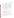| <b>Interferant</b>                    | <b>Interferant</b><br><b>Concentration</b>                                             | <b>Target Analyte</b>                 |
|---------------------------------------|----------------------------------------------------------------------------------------|---------------------------------------|
| CO                                    | $500$ ppm                                                                              | NO, NO <sub>2</sub> , NO <sub>x</sub> |
| CO <sub>2</sub>                       | 5%                                                                                     | NO, NO <sub>2</sub> , NO <sub>x</sub> |
| SO <sub>2</sub>                       | $500$ ppm                                                                              | NO, NO <sub>2</sub> , NO <sub>x</sub> |
| NH <sub>3</sub>                       | $500$ ppm                                                                              | NO, NO <sub>2</sub> , NO <sub>x</sub> |
| Hydrocarbon<br>Mixture <sup>(a)</sup> | ~ 500 ppm $C_1$ , ~ 100 ppm $C_2$ ,<br>$\sim$ 50 ppm C <sub>3</sub> and C <sub>4</sub> | NO, NO <sub>2</sub> , NO <sub>x</sub> |
| $SO2$ and NO                          | 250 ppm each                                                                           | NO, NO <sub>2</sub> , NO <sub>x</sub> |

# **Table 6. Summary of Interference Tests to be Performed**

(a)  $C_1$  = methane,  $C_2$  = ethane + ethylene, etc.

The stepwise procedure for conducting the Interference Test is as follows:

- 1. Zero the analyzer with high purity diluent gas (air or nitrogen), and record the reading.
- 2. Supply a potential interferant gas to the analyzer, diluted if necessary to the concentrations shown in Table 6.
- 3. Allow the analyzers to stabilize in sampling of the interferant gas, and record the responses to all the pertinent target analytes (NO,  $NO_2$ , and/or  $NO_x$ ).
- 4. Repeat steps 1 to 3 for the entire set of potential interferants.

The results of this test will be up to 18 total measurements of interference response in NO,  $NO<sub>2</sub>$ , and  $NO<sub>x</sub>$  measurements for each analyzer (less if the analyzer does not measure all three target analytes). Each measurement of interference response consists of the difference in readings between zero air and air containing the interferant gas.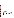# **7.5 Ambient Temperature**

The effect of ambient temperature on analyzer operation will be evaluated by comparing the response of the analyzer in the laboratory at room temperature, to that in test chambers at both reduced and elevated temperatures. Procedures for this test are as follows:

- 1. Record the room temperature and actual chamber temperatures during any data collection period.
- 2. Perform a zero check, a single point span check with NO and then with  $NO<sub>2</sub>$ , and another zero check on both analyzers in the laboratory at room temperature. Record the zero and span gas readings. Make no adjustments to the analyzers' zero or span settings after this point.
- 3. Place both analyzers together in a  $1.4 \text{ m}^3$  laboratory test chamber, that is cooled to  $45^{\circ}F (\pm 5^{\circ}F)$ .
- 4. Allow one hour in the cool chamber for temperature equilibration. Record the chamber temperature, perform a zero check, a span check, and another zero check, and record the readings.
- 5. Remove the analyzers from the cooled chamber and place them together in an adjacent identical chamber heated to  $105^{\circ}F (\pm 5^{\circ}F)$ .
- 6. Allow one hour in the heated chamber for temperature equilibration. Record the chamber temperature, perform a zero check, a span check, and another zero check, and record the readings.
- 7. Remove the analyzers from the heated chamber and allow them to cool to room temperature. Perform a zero check, a span check, and another zero check, and record the readings.

The results of the Ambient Temperature Test will be 12 total data points (2 zero and 1 span at each stable temperature condition) for NO, and an equal number for  $NO<sub>2</sub>$ , for each analyzer.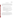## **7.6 Interrupted Sampling**

The effect of interrupted sampling on the analyzers will be assessed in the laboratory by turning the analyzers off at the end of the first test day, e.g., after the Linearity Test (Section 7.1). The results of a zero and span check conducted at the end of that day will be compared to results of a similar check when the analyzers are powered up after a shutdown. Specific procedures for this test are:

- 1. Upon completion of the first test day, shut off all power to the analyzer.
- 2. After at least 12 hours, restore power to the analyzer. Make no adjustments of any kind to the analyzers.
- 3. Once the analyzer is stabilized (as indicated by internal diagnostics or operator observations), perform a zero and span check for both  $NO$  and  $NO<sub>2</sub>$ , using the same span concentrations used before the shutdown.
- 4. Record the readings and compare them to those obtained before the shutdown period. The readings consist of four data points (zero/span before shutdown and zero/span after shutdown) for NO, and an equal number for  $NO<sub>2</sub>$ , for each analyzer.

#### **7.7 Flow Rate Sensitivity**

The Flow Rate Sensitivity Test will evaluate the ability of an analyzer to maintain a constant sample flow rate in the face of small positive or negative static pressure in the sample duct (relative to atmospheric pressure), and to maintain constant response to  $NO$  and  $NO<sub>2</sub>$  under such conditions. This sensitivity will be tested in the laboratory by sampling from a flow of calibration gas, and monitoring the dependence of the analyzer's response and sample flow rate on the pressure of the calibration gas. The stepwise procedure is as follows: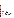- 1. Prepare a sampling manifold capable of providing sample flow to the analyzers at pressures (relative to the ambient atmosphere) ranging between +10 and -10 inches of water.
- 2. Insert a flow measuring device (automated bubble flowmeter, rotameter or other nonrestrictive type) in the sample inlet flow to each analyzer.
- 3. Supply the manifold with zero gas at a pressure equal to that of the ambient atmosphere. Measure the analyzer's inlet flow rate while sampling from the manifold.
- 4. Remove the flowmeter from the inlet line of the analyzer, reconnect the analyzer to the manifold, and record the analyzer's response to the zero gas.
- 5. Supply the manifold with NO at a concentration approximately equal to 60 percent of the analyzer's measuring range. Record the analyzer's response.
- 6. Again supply the manifold with zero gas and record the analyzer's response.
- 7. Repeat steps 2 to 5 with zero and span gas at a pressure of +10 inches of water, relative to the ambient atmosphere, and again at a pressure of -10 inches of water, relative to the ambient atmosphere.
- 8. Repeat steps 2 to 6 with  $NO<sub>2</sub>$  instead of NO.

The results of this test are nine total data points (2 zero and 1 span at each pressure) for NO, and an equal number for  $NO<sub>2</sub>$ , for each analyzer.

# **7.8 Accuracy**

Accuracy relative to EPA Method 7E will be verified by simultaneously monitoring the emissions from a series of combustion sources with the reference method and with two units of the analyzer being tested. Data will be taken during steady state operation of the source; diesel generators will provide several distinct steady state emission conditions depending on the load placed on the generator. Specific procedures to verify accuracy are: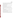- 1. Perform a zero and span check on each analyzer being tested, and on the reference method. Do not recalibrate or adjust the analyzers in the remainder of the test (the sample conditioning system may be cleaned or changed if necessary, as long as the change is noted in the verification report).
- 2. Place sampling probes for the analyzers and reference method at the cross-sectional midpoint of the source exhaust stack.
- 3. Once the readings have stabilized, record the NO,  $NO<sub>2</sub>$ , and/or  $NO<sub>x</sub>$  readings of the commercial and reference analyzers.
- 4. Switch the probes to sample ambient air until stable readings are obtained.
- 5. Return the sample probes to the stack and repeat steps 2 to 4 until a total of nine source sampling intervals have been conducted, separated by periods of ambient air sampling.
- 6. Repeat the procedure above on all sources. With the diesel generators, repeat at three separate load conditions with each generator. The resulting number of measurements to be made is listed in Table 7.
- 7. For one load condition with one diesel generator, conduct an extended sampling interval in place of one of the nine sampling periods (see Table 7). See Section 7.10 regarding the performance of this procedure.
- 8. Perform a zero and span check on each analyzer after completing all sampling from each source, before proceeding to sampling from the next source. Use the same span gas concentration as in the zero and span check performed before source sampling.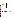| <b>Combustion Source</b>         | Number of<br><b>Source</b><br><b>Operating</b><br><b>Conditions</b> | Number of<br><b>Sampling Periods per</b><br><b>Source Operating</b><br><b>Condition</b> | <b>Total Number of</b><br><b>Measurements to be</b><br><b>Collected for Each</b><br>Analyzer <sup>(a)</sup> |
|----------------------------------|---------------------------------------------------------------------|-----------------------------------------------------------------------------------------|-------------------------------------------------------------------------------------------------------------|
| Water heater                     |                                                                     | 9                                                                                       |                                                                                                             |
| Cooktop                          |                                                                     | 9                                                                                       | 9                                                                                                           |
| Model 86D-B diesel<br>generator  | 3                                                                   | $\mathbf{Q}^{\mathsf{b}}$                                                               | 27                                                                                                          |
| Model 86D-DF diesel<br>generator | 3                                                                   | 9                                                                                       | 27                                                                                                          |

## **Table 7. Summary of Data to be Collected in the Combustion Source Tests**

(a) Number of separate measurements of source emissions to be made for each target analyte, i.e., NO, NO<sub>2</sub>, and/or  $NO_x$ .

(b) At one condition, an extended sampling period will replace one measurement period (see Section 7.10).

#### **7.9 Zero/Span Drift**

Zero drift and span drift will be evaluated using data generated in the Linearity and Ambient Temperature Tests in the laboratory, and the Accuracy Test on combustion sources. Another assessment of zero and span drift comes from the Interrupted Sampling Test. No additional experimental activities are necessary. In the combustion source tests, a zero and span check will be performed for both  $NO$  and  $NO<sub>2</sub>$  on each analyzer before sampling of the emissions from each source, and then again after the source emissions measurements are completed (steps 1 and 8 of the Accuracy Test, Section 7.8). The zero and span drift are determined as the difference in response on zero and span gases in these two checks. This comparison will be made for each analyzer, for both NO and NO<sub>2</sub>, for both zero and span response, using data from all four combustion source tests (i.e., 8 zero and 8 span points for NO, and an equal number for  $NO<sub>2</sub>$ ). In the laboratory, zero and span values determined at the start and end of the Linearity and Ambient Temperature Tests will be similarly compared, producing 4 more zero and 4 more span points for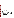each species. The Interrupted Sampling Test provides a distinct and independent measure of analyzer drift (Section 7.6).

#### **7.10 Measurement Stability**

Stability in source sampling will also be evaluated in conjunction with the Accuracy Test (Section 7.8). At one load condition during sampling of the Model 86D-DF diesel generator, each analyzer will sample the emissions for a full hour continuously. A total of 60 minutes of data will be collected as a continuous one-hour period. Data will be collected at one minute intervals from both the reference monitor and the commercial analyzers. Stability will be assessed based on the uniformity over time of the analyzers' response, with any instability of source output normalized by means of the reference method data. The load condition used will be one that produces  $NO<sub>x</sub>$  concentrations between about 40 and 60 percent of the analyzers' measuring range.

# **8.0 QUALITY ASSURANCE/QUALITY CONTROL**

#### **8.1 Instrument Calibration and Frequency**

#### **8.1.1 Dry Gas Meter**

The dry gas meter must have been calibrated against a volumetric standard by Battelle's Instrument Laboratory within the six months preceding the verification test. In addition, at least once during this verification test the meter calibration must be checked against a reference meter according to the procedure described in Section 4.1 of Method 2A, 40 CFR Part 60 Appendix A.

#### **8.1.2 Temperature Sensor/Thermometers**

The thermocouple sensor used to determine source emission temperatures, and the thermometers used to measure room or chamber temperatures, must have been calibrated against a certified temperature measurement standard by Battelle's Instrument Laboratory within the six months preceding the verification test. At least once during this verification test each source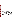temperature measurement device must also be checked for accuracy as specified in Section 4.2 of Method 2A, 40 CFR Part 60 Appendix A, i.e., by comparison to an American Society for Testing and Materials (ASTM) mercury-in-glass reference thermometer. That comparison must be done at ambient temperature; agreement within 2 percent in absolute temperature is required.

#### **8.1.3 Oxygen Monitor**

The oxygen monitor must have been calibrated by Battelle's Instrument Laboratory within the six months preceding the verification test. Its calibration must also be checked at least once on every test day by sampling of ambient air (i.e., oxygen content of 20.9 percent). Furthermore, during operation on one combustion source (to be selected during verification testing) the accuracy of the oxygen monitor will be assessed as prescribed in Section 4.4 of EPA Method 3 (40 CFR Part 60 Appendix A), i.e., by comparison to an Orsat or Fyrite oxygen analysis.

## **8.1.4 EPA Method 7E Monitors**

The chemiluminescent monitors to be used for Method 7E reference measurements will be subjected to a 4-point calibration with NO prior to the start of verification testing, on each measurement range to be used for verification. One of the calibration points will be zero gas; the other three calibration points shall be prepared by dilution of EPA Protocol Gas to approximately 30, 60, and 100 percent of the full scale measuring range. Each calibration point shall be prepared in triplicate. A corresponding 4-point calibration will also be done with  $NO<sub>2</sub>$  on each range to be used. This calibration will be pursuant to EPA  $ALT-013$ .<sup>(5)</sup> The calibration error requirement shall be consistent with that in Section 4.1 of Method 6C, 40 CFR Part 60 Appendix A, i.e. the average response at each calibration point shall differ from that predicted by the linear regression to all the data points by less than 2 percent of the instrument's measuring range. On each day of verification testing, both monitors will undergo a zero and span check in the morning before the start of testing, and again in the afternoon after all testing is completed for the day.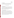## **8.1.5 Gas Dilution System**

Flow measurement or control devices in the dilution system shall be calibrated prior to the start of the verification test by means of a manual or automated soap bubble flow meter. Corrections will be applied to the bubble meter data for temperature and water content.

#### **8.2 Assessments and Audits**

#### **8.2.1 Technical Systems Audits**

Battelle's QA/QC Reviewer, Ms. Susan Abbgy, will perform a technical systems audit once during the performance of this verification test. The purpose of this technical systems audit is to ensure that the verification test is being performed in accordance with this test/QA plan and that all QA/QC procedures are being implemented. In this audit, Ms. Abbgy will review the calibration sources and reference method used, compare actual test procedures to those specified in this plan, and review data acquisition and handling procedures.

# **8.2.2 Performance Evaluation Audit**

A performance evaluation audit will be conducted to assess the quality of the measurements made in this verification test. This audit addresses only those measurements made by Battelle in conducting the verification test, i.e., the analyzers being verified and the vendors operating these analyzers are not the subject of the performance evaluation audit. This audit will be performed by analyzing a standard or comparing to a reference that is independent of standards used during the testing. This audit will be performed once during the verification procedure. The audit procedures, which are listed in Table 8, will be performed by the technical staff responsible for the measurements being audited. Battelle's QA/QC Reviewer will be present during the performance evaluation audit to immediately assess audit results.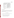**Measurement to be Audited | Audit Procedure** Reference method for Analyze independent NO and nitrogen oxides  $(NO, NO_x)$  |  $NO_2$  standards (i.e., obtained from a different vendor) Temperature Compare to independent temperature measurement Oxygen Concentration Compare to independent oxygen measurement Gas Flow Rate Compare to independent flow measurement

Table 8. Summary of Performance Audit Procedures<sup>(a)</sup>

 (a) Each audit procedure will be performed once during the verification test.

#### **8.2.3 Data Quality Audits**

Battelle's QA/QC Reviewer will audit at least 10 percent of the verification data acquired in the verification test. The QA/QC Reviewer will trace the data from initial acquisition, through reduction and statistical comparisons, and to final reporting. All calculations performed on the data undergoing audit will be checked.

#### **8.3 Assessment Reports**

Each assessment and audit will be documented in accordance with Section 2.9.7 of the  $QMP$  for the AMS pilot.<sup>(1)</sup> Assessment reports will include the following:

- $\bullet$  Identification of any adverse findings or potential problems
- $\bullet$  Space for response to adverse findings or potential problems
- $\bullet$  Possible recommendations for resolving problems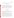- $\bullet$  Citation of any noteworthy practices that may be of use to others
- Confirmation that solutions have been implemented and are effective.

#### **8.4 Corrective Action**

The QA/QC Reviewer during the course of any assessment or audit will identify to the technical staff performing experimental activities any immediate corrective action that should be taken. If serious quality problems exist, the QA/QC Reviewer is authorized to stop work. Once the assessment report has been prepared, the Verification Testing Leader will ensure that a response is provided for each adverse finding or potential problem, and will implement any necessary followup corrective action. The QA/QC Reviewer will ensure that followup corrective action has been taken.

#### **9.0 DATA ANALYSIS AND REPORTING**

#### **9.1 Data Acquisition**

Data acquisition in this verification test includes recording of the response data from the analyzers undergoing testing, recording of data from the reference method analyzers, and recording of operational data such as combustion source conditions, test temperatures, calibration information, the times of test activities, etc.

Data acquisition for the commercial analyzers undergoing verification is primarily performed by the vendors themselves during the laboratory tests. Each analyzer must have some form of data acquisition device, such as a digital display whose readings can be recorded manually, a printout of analyzer response, or an electronic data recorder that stores individual analyzer readings. In all laboratory tests the vendor will be responsible for reporting the response of the analyzer to the sample matrices provided. In most laboratory tests, the analyzer response to be reported will be in the form of an average or stable reading. However, in the Response Time test the response will be reported as individual readings obtained at 10-second intervals.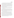Page 43 of 54 Version 1.0 Date: 12/04/98

In general, data acquisition for the commercial analyzers and reference monitors must be simultaneous during the combustion source tests in order to properly compare the two methods. For all commercial analyzers that can produce an analog or digital electronic output, a data acquisition system provided by Battelle will be used to record both the commercial analyzer and reference monitor responses during these tests. Data acquisition for the Zero/Span Drift Test will be based on average or stable responses, similar to that for most of the laboratory tests, as noted above. For analyzers that provide only visual or printed output, data will be recorded manually and simultaneously for both the analyzers being tested and the reference monitor. Forms for this purpose will be provided as needed by Battelle.

Other data will be recorded in laboratory record books maintained by each Battelle staff member involved in the testing. These records will be reviewed on a daily basis to identify and resolve any inconsistencies.

In all cases, strict confidentiality of data from each vendor's analyzers, and strict separation of data from different analyzers, will be maintained. This will be accomplished in part by the separation in time between conducting each test on different analyzers. More importantly, separate files (including manual records, printouts, and/or electronic data files) will be kept for each analyzer. At no time during verification testing will Battelle staff engage in any comparison or discussion of test data or of different analyzers.

Table 9 summarizes the types of data to be recorded; how, how often, and by whom the recording is made; and the disposition or subsequent processing of the data. The general approach is to record all test information immediately and in a consistent format throughout all tests. Data recorded by the vendors is to be turned over to Battelle staff immediately upon completion of the test procedure. Test records will then be converted to Excel spreadsheet files by the same Battelle staff who conducted the verification tests. Identical file formats will be used for the data from all analyzers tested, to assure uniformity of data treatment. Separate data files will be kept for each of the two identical analyzers provided by each vendor, to assure separation of data and facilitate intercomparisons of the two units. This process of data recording and compiling will be overseen by the Verification Testing Leader.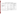# **Table 9. Summary of Data Recording Process for the Verification Test**

| Data to be Recorded                                                                                                  | <b>Responsible Party</b> | <b>Where Recorded</b>                                       | <b>How Often Recorded</b>                                                     | <b>Disposition of Data</b> <sup>(a)</sup>                                                     |
|----------------------------------------------------------------------------------------------------------------------|--------------------------|-------------------------------------------------------------|-------------------------------------------------------------------------------|-----------------------------------------------------------------------------------------------|
| Dates, times of test events                                                                                          | <b>Battelle</b>          | Laboratory record books                                     | Start/end of test, and at each<br>change of a test parameter.                 | Used to check test results;<br>manually incorporated in<br>data spreadsheets as<br>necessary. |
| Test parameters (temperature,<br>pressure, analyte/interferant<br>identities and concentrations,<br>gas flows, etc.) | <b>Battelle</b>          | Laboratory record books                                     | When set or changed, or as<br>needed to document<br>stability.                | Used to check test results,<br>manually incorporated in<br>data spreadsheets as<br>necessary. |
| Portable analyzer readings<br>- digital display                                                                      | Vendor                   | Data sheets provided by<br>Battelle.                        | As specified intervals during<br>each test.                                   | Manually entered into<br>spreadsheets                                                         |
| printout                                                                                                             | Vendor                   | Original to Battelle, copy to<br>vendor.                    | At specified intervals during<br>each test.                                   | Manually entered into<br>spreadsheets                                                         |
| electronic output                                                                                                    | Vendor/Battelle          | Data acquisition system (data<br>logger, PC, laptop, etc.). | Continuously at specified<br>acquisition rate throughout<br>each test.        | Electronically transferred to<br>spreadsheets                                                 |
| Reference monitor readings                                                                                           | <b>Battelle</b>          | Data sheets, or data acquisition<br>system, as appropriate. | At specified intervals, or<br>continuously at specified<br>rate in each test. | Transferred to spreadsheets                                                                   |

(a) All activities subsequent to data recording are carried out by Battelle.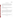#### **9.2 Statistical Calculations**

The analyzer performance characteristics are quantified on the basis of statistical comparisons of the test data. This process begins with conversion of the spreadsheet files that result from the data acquisition process (Section 9.1) into data files suitable for evaluation with SAS statistical software. The following are the statistical procedures used to make those comparisons.

#### **9.2.1 Linearity**

Linearity will be assessed by linear regression with the calibration concentration as independent variable and the analyzer response as dependent variable. Separate calibration will be carried out for each unit. The calibration model is

$$
Y_c = \Box h(c) + \Box error_c \tag{1}
$$

where  $Y_c$  is the analyzer's response to a challenge concentration *c*,  $h(c)$  is a linear calibration curve, and the error term is assumed to be normally distributed. If the variability is not constant throughout the range of concentrations then weighting in the linear regression is appropriate. It is often the case that the variability increases proportionally with the true concentration. The variability  $(\sigma)$  of the measured concentration values (c) may be modeled by the following relationship:

$$
\sigma_c^2 = \alpha \Box + \Box kc \Box^{\beta \Box} \tag{2}
$$

where  $a$ ,  $k$  and  $\beta$  are constants to be estimated from the data. After determining the relationship between the mean and variability, appropriate weighting will be determined such as

$$
weight = \Box w_c = \Box \frac{1}{\sigma_c^2}
$$
 (3)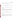The form of the regression model to be fitted is  $h(c) = \alpha_o + \alpha_c$ . Concentration values will be calculated from the estimated calibration curve using the formula

$$
c = \widehat{\mathbb{L}} \widehat{\mathbb{L}}^{-1}(Y_c) = \widehat{\mathbb{L}} \frac{Y_c - \widehat{\mathbb{L}} \widehat{\alpha}_o}{\widehat{\alpha}_1} \tag{4}
$$

A test for departure from linearity may be carried out by comparing the residual sum of squares

$$
\sum_{i=1}^{6} (\bar{Y}_{c_i} - \Box \alpha \Box - \Box \alpha \Box c_i)^2 n_{c_i} w_{c_i}
$$
\n(5)

to a chi-square distribution with  $6 - 2 = 4$  degrees of freedom. ( $n_c$  is the number of replicates at concentration c).

#### **9.2.2 Detection Limit**

The detection limit (LOD) will be defined as the smallest true concentration at which the analyzer's expected response exceeds the calibration curve at zero concentration by three times the standard deviation of the analyzer's zero reading, i.e.,  $\alpha_0 + 3 \sigma \sqrt{ } \sqrt{ }$ . The LOD may then be determined by

$$
LOD = \frac{\left[\left(\alpha_{\partial} \alpha_{\partial} + \Box \alpha_{\partial} \alpha_{\partial} \alpha_{\partial} + \Box \alpha_{\partial} \alpha_{\partial} \alpha_{\partial} \alpha_{\partial} \alpha_{\partial} \alpha_{\partial} \alpha_{\partial} \alpha_{\partial} \alpha_{\partial} \alpha_{\partial} \alpha_{\partial} \alpha_{\partial} \alpha_{\partial} \alpha_{\partial} \alpha_{\partial} \alpha_{\partial} \alpha_{\partial} \alpha_{\partial} \alpha_{\partial} \alpha_{\partial} \alpha_{\partial} \alpha_{\partial} \alpha_{\partial} \alpha_{\partial} \alpha_{\partial} \alpha_{\partial} \alpha_{\partial} \alpha_{\partial} \alpha_{\partial} \alpha_{\partial} \alpha_{\partial} \alpha_{\partial} \alpha_{\partial} \alpha_{\partial} \alpha_{\partial} \alpha_{\partial} \alpha_{\partial} \alpha_{\partial} \alpha_{\partial} \alpha_{\partial} \alpha_{\partial} \alpha_{\partial} \alpha_{\partial} \alpha_{\partial} \alpha_{\partial} \alpha_{\partial} \alpha_{\partial} \alpha_{\partial} \alpha_{\partial} \alpha_{\partial} \alpha_{\partial} \alpha_{\partial} \alpha_{\partial} \alpha_{\partial} \alpha_{\partial} \alpha_{\partial} \alpha_{\partial} \alpha_{\partial} \alpha_{\partial} \alpha_{\partial} \alpha_{\partial} \alpha_{\partial} \alpha_{\partial} \alpha_{\partial} \alpha_{\partial} \alpha_{\partial} \alpha_{\partial} \alpha_{\partial} \alpha_{\partial} \alpha_{\partial} \alpha_{\partial} \alpha_{\partial} \alpha_{\partial} \alpha_{\partial} \alpha_{\partial} \alpha_{\partial} \alpha_{\partial} \alpha_{\partial} \alpha_{\partial} \alpha_{\partial} \alpha_{\partial} \alpha_{\partial} \alpha_{\partial} \alpha_{\partial} \alpha_{\partial} \alpha_{\partial} \alpha_{\partial} \alpha_{\partial} \alpha_{\partial} \alpha_{\partial} \alpha_{\partial} \alpha_{\partial} \alpha_{\partial} \alpha_{\partial} \alpha_{\partial} \alpha_{\partial} \alpha_{\partial} \alpha_{\partial} \alpha_{\partial} \alpha_{\partial} \alpha_{\partial} \alpha_{\partial} \alpha_{\partial} \alpha_{\partial} \alpha_{\partial} \alpha_{\partial} \alpha_{\partial} \alpha_{\partial} \alpha_{\partial} \alpha_{\partial} \alpha_{\partial} \alpha_{\partial} \alpha_{\partial} \alpha_{\partial} \alpha_{\partial} \alpha_{\partial} \alpha_{\partial} \alpha_{\partial} \alpha_{\partial}
$$

where  $\sigma_0$  is the estimated standard deviation at zero concentration. The LOD is estimated as  $LOD = \Box 3 \hat{\alpha} \Box \hat{\alpha}$ 

## **9.2.3 Response Time**

The response time of the analyzers to a step change in analyte concentration is calculated by determining the total change in response due to the step change in concentration, and then determining the point in time when 95 percent of that change was achieved. Using data taken every 10 seconds, the following calculation is done: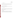Total Response =  $R_c$  -  $R_z$ 

where  $R_c$  is the final response of the analyzer to the calibration gas and  $R<sub>z</sub>$  is the final response of the analyzer to the zero gas. The analyzer response that indicates the response time then is:

Response<sub>RT</sub> =  $0.95$ (Total Response) + R<sub>z</sub>.

The point in time at which this response occurs is determined by inspection of the response/time data, and the response time is then calculated as:

 $RT = Time_{95\%} - Time_{1}$ 

where Time<sub>95%</sub> is the time at which Response<sub>RT</sub> occurs and Time<sub>I</sub> is the time at which the span gas was substituted for the zero gas. Since only one measurement will be made, the precision of the response time cannot be determined.

#### **9.2.4 Interferences**

The extent of interference will be calculated in terms of the sensitivity of the analyzer to the interferant species, relative to its sensitivity to  $NO$  or  $NO<sub>2</sub>$ . The relative sensitivity is calculated as the ratio of the observed response of the analyzer to the actual concentration of the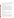interferant. For example, an analyzer that measures NO is challenged with 500 ppm of CO, resulting in a difference in reading of 1 ppm (as NO). The relative sensitivity of the analyzer is thus 1 ppm/500 ppm  $= 0.2$  percent. The precision of the interference results cannot be estimated from the data obtained, since only one measurement is made for each interferant.

#### **9.2.5 Ambient Temperature Effect**

The analyzer response data obtained from a single point span check or a zero check at a given temperature and a given concentration (i.e., zero or span) are not statistically independent. Therefore the average value in each sampling period will be used as a single value in the comparison. Thus at room temperature, low temperature, and high temperature there will be two data points for each analyzer, namely the average response on zero gas and the average response on span gas. Variability for low and for high temperatures will be assumed to be the same as the variability at room temperature, and the variability determined in the Linearity Test will be used for this analysis. The ambient temperature effect on zero and span readings will then each be assessed by trend analysis for response with temperature, using separate linear regression analyses for the zero and for the span data. Precision of the ambient temperature effect cannot be estimated.

#### **9.2.6 Interrupted Sampling**

The effect of interrupted sampling will be assessed as the arithmetic difference between zero data and between span data obtained before and after the test. Differences will be stated in ppm units. No estimate can be made of the precision of the observed differences.

#### **9.2.7 Flow Rate Sensitivity**

The statistical analysis for evaluation of flow rate effects will be similar to that used for assessing the ambient temperature effect. The analyzer response data at a given duct pressure and a given concentration (i.e., zero or span) are not statistically independent, therefore the average value in each sampling period will be used in the comparison. Thus at each of ambient pressure, reduced pressure, and increased pressure there will be three total data points for each analyzer,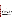Page 49 of 54 Version 1.0 Date: 12/04/98

namely the analyzer flow rate and average response on zero gas and the average response on span gas. Variability for reduced and increased pressures will be assumed to be the same as the variability at ambient pressure, and the variability determined in the Linearity Test will be used for this analysis. The duct pressure effect on analyzer flow rates and response will then be assessed by separate linear regression trend analyses for flow rate, and for response. The trend analysis for response will consist of separate analyses for the zero and for the span data. The precision of the flow rate effect cannot be determined from the data obtained.

#### **9.2.8 Accuracy**

The relative accuracy (RA) of the analyzers with respect to the reference method will be assessed by:

$$
RA = \Box \frac{|\bar{d}| \Box + \Box t_{n-1}^{\alpha \Box} \frac{S_d}{\sqrt{n}}}{\bar{x}} \times 100\%
$$
 (7)

where *d* refers to the difference between the reference and tested methods, and *x* corresponds to the reference method value.  $S_d$  denotes the sample standard deviation of the differences and will be estimated by n = 9 samples, while  $t_{n-1}^{\alpha}$  is the t value for the 100(1 -  $\alpha$ )th percentile of the distribution with n-1 degrees of freedom. The relative accuracy will be determined for an  $\alpha$  value of 0.025 (i.e., 97.5 percent confidence level, one-tailed). The RA calculated in this way can be interpreted as an upper confidence bound for the relative bias of the analyzer, i.e.,  $\frac{|\mathbf{d}|}{\overline{x}}$ , where the superscript bar indicates the average value of the differences or of the reference values.

#### **9.2.9 Zero/Span Drift**

Statistical procedures for assessing zero and span drift will be similar to those used to assess interrupted sampling. Zero (span) drift will be calculated as the arithmetic difference between zero (span) values obtained before and after sampling of source emissions. No estimate can be made of the precision of the zero and span drift values.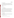#### **9.2.10 Measurement Stability**

The temporal stability of analyzer response in extended sampling from a combustion source will be assessed by means of a trend analysis on the 60 minutes of data from this test. The existence of a trend in the data will be assessed by fitting a linear regression line to the measured concentration as the dependent variable and time as the independent variable. The null hypothesis that the slope of the trend line is zero, i.e.,

 $H_0$ : slope = 0  $H_a$ : slope  $\neq 0$ 

will be tested using a t-test.

## **9.2.11 Inter-Unit Repeatability**

In tests in which analyzer performance was verified by comparison with data from the reference method, the two identical units of each type of analyzer will be compared to one another using the same statistical tests that were used to compare the units to the reference method individually. In tests in which no reference method data were obtained (e.g., Linearity Test), the performance of the two units of each analyzer will be compared using statistical tests of difference. The purpose of this comparison is to determine if any significant differences in performance exist between two units operating side-by-side. For example, the slopes of the calibration lines determined in the Linearity Test, and the detection limits determined from those test data, will be compared.

# **9.2.12 Data Completeness**

Data completeness will be calculated as the percentage of possible data recovered from an analyzer in a test. It is calculated as the ratio of the actual to the possible number of data points, converted to a percentage, i.e.,

Data Completeness =  $(N_a)/(N_p)$  x 100%,

where  $N_a$  is the number of actual and  $N_p$  the number of possible data points.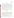#### **9.3 Data Review**

Records generated by Battelle staff in the verification test will receive a one-over-one review within two weeks after generation, before these records are used to calculate, evaluate, or report verification results. These records may include laboratory record books; operating data from the combustion sources; equipment calibration records; and data sheets used to record the analyzers' response or other parameters in the laboratory or combustion source experiments. This review will be performed by a Battelle technical staff member involved in the verification test, but not the staff member that originally generated the record. The review will be documented by the person performing the review by adding his/her initials and date to a hard copy of the record being reviewed. This hard copy will then be returned to the Battelle staff member who generated or who will be storing the record.

In addition, data calculations performed by Battelle will be spot-checked by Battelle technical staff to ensure that calculations are performed correctly. Calculations to be checked include determination of analyzer precision, accuracy, detection limit, and other statistical calculations identified in Section 9.2 of this test/QA plan.

#### **9.4 Reporting**

The statistical data comparisons that result from each of the tests described above will be conducted separately for each unit of each commercial NO/NO<sub>2</sub> analyzer, and information on the additional cost factors will be compiled. Separate verification reports will then be prepared, each addressing the analyzers provided by one commercial vendor. The results for the two units tested will be included separately in the report (i.e., no averaging of the two results will be done). For each test conducted in this verification, the verification report will present the test data, as well as the results of the statistical evaluation of those data.

The verification report will briefly describe the ETV program and the AMS pilot, and will describe the procedures used in verification testing. These sections will be common to each verification report resulting from this verification test. The results of the verification test will then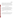Page 52 of 54 Version 1.0 Date: 12/04/98

be stated quantitatively, without comparison to any other analyzer tested, or comment on the acceptability of the analyzer's performance. The preparation of draft verification reports, the review of reports by vendors and others, the revision of the reports, final approval, and the distribution of the reports, will be conducted as stated in the Generic Verification Protocol for the Advanced Monitoring Systems Pilot.<sup>(9)</sup> Preparation, approval, and use of Verification Statements summarizing the results of this test will also be subject to the requirements of that same Protocol.

## **10.0 HEALTH AND SAFETY**

The verification test described in this test/QA plan will be performed at Battelle's laboratories in Columbus, OH. Health and safety requirements and guidance for the Columbus laboratories are provided in the Battelle Operating Guide (Section 1300 Environment, Safety, and Health) and the Battelle Columbus Operations ES&H Management Plan. Battelle staff involved in this verification test will operate under these established requirements and guidance.

Vendor staff will be operating their analyzers in Battelle laboratories during the verification test. Health and safety requirements and guidance for vendor staff are provided in the following paragraphs.

#### **10.1 Access**

Battelle's Columbus Operations is a limited access facility. Vendor staff will be required to sign a standard access agreement and will receive an access badge valid for the period of the verification test. Access will be limited to regular Battelle workdays between 7 a.m. and 6 p.m. and is restricted to buildings and areas where the verification test is being conducted.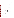#### **10.2 Potential Hazards**

Vendor staff will only be operating their NO/NO, analyzers during the verification test. They are not responsible for, nor permitted to, generate dilution gases, operate combustion sources, or perform any other verification activities identified in this test/QA plan. Operation of NO/NO emission analyzers does not pose any known chemical, fire, mechanical, electrical, noise, 2 or other potential hazard.

#### **10.3 Training**

All vendor staff will be given a safety briefing prior to their installation and operation of their analyzers in Battelle laboratories. This briefing will include a description of emergency operating procedures (i.e., in case of fire, tornado, bomb, laboratory accident) and identification and location and operation of safety equipment (e.g., fire alarms, fire extinguishers, eye washes, exits).

#### **10.4 Safe Work Practices**

The following safe work practices must be followed by all vendor staff operating their analyzers in Battelle laboratories:

- $\bullet$  Vendor staff will be required to wear laboratory coats and protective glasses while in Battelle active laboratories
- $\bullet$  Eating, drinking, and smoking are only permitted in designated areas.

A "three warning" system will be used to enforce vendor compliance with these safety practices:

- $\bullet$  First infraction violator receives a verbal warning
- $\bullet$  Second infraction violator receives a written warning